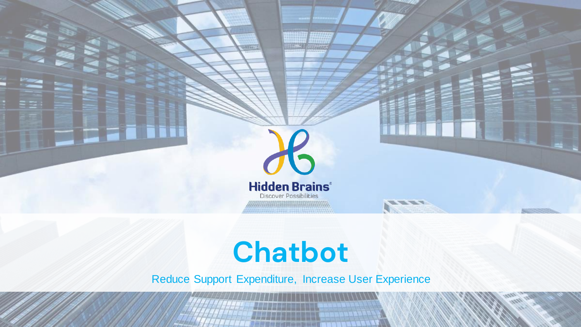

# **Chatbot**

Reduce Support Expenditure, Increase User Experience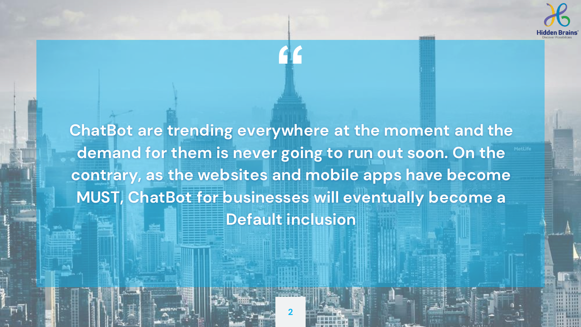

**ChatBot are trending everywhere at the moment and the demand for them is never going to run out soon. On the contrary, as the websites and mobile apps have become MUST, ChatBot for businesses will eventually become a Default inclusion**

**"**



**2**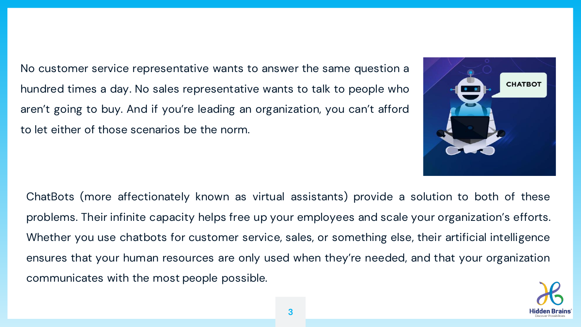No customer service representative wants to answer the same question a hundred times a day. No sales representative wants to talk to people who aren't going to buy. And if you're leading an organization, you can't afford to let either of those scenarios be the norm.



ChatBots (more affectionately known as virtual assistants) provide a solution to both of these problems. Their infinite capacity helps free up your employees and scale your organization's efforts. Whether you use chatbots for customer service, sales, or something else, their artificial intelligence ensures that your human resources are only used when they're needed, and that your organization communicates with the most people possible.

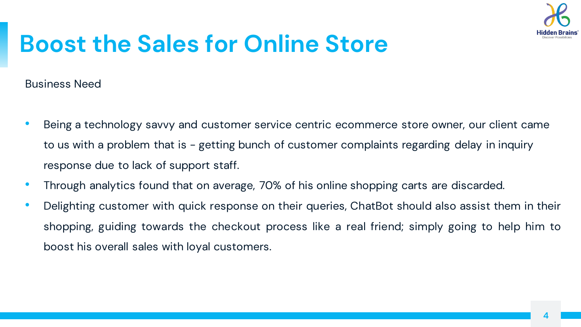

## **Boost the Sales for Online Store**

Business Need

- Being a technology savvy and customer service centric ecommerce store owner, our client came to us with a problem that is - getting bunch of customer complaints regarding delay in inquiry response due to lack of support staff.
- Through analytics found that on average, 70% of his online shopping carts are discarded.
- Delighting customer with quick response on their queries, ChatBot should also assist them in their shopping, guiding towards the checkout process like a real friend; simply going to help him to boost his overall sales with loyal customers.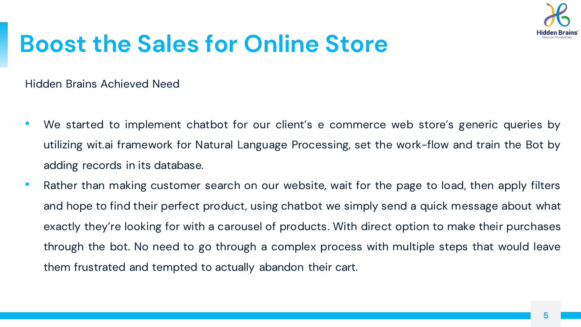

### **Boost the Sales for Online Store**

Hidden Brains Achieved Need

- We started to implement chatbot for our client's e commerce web store's generic queries by utilizing wit.ai framework for Natural Language Processing, set the work-flow and train the Bot by adding records in its database.
- Rather than making customer search on our website, wait for the page to load, then apply filters and hope to find their perfect product, using chatbot we simply send a quick message about what exactly they're looking for with a carousel of products. With direct option to make their purchases through the bot. No need to go through a complex process with multiple steps that would leave them frustrated and tempted to actually abandon their cart.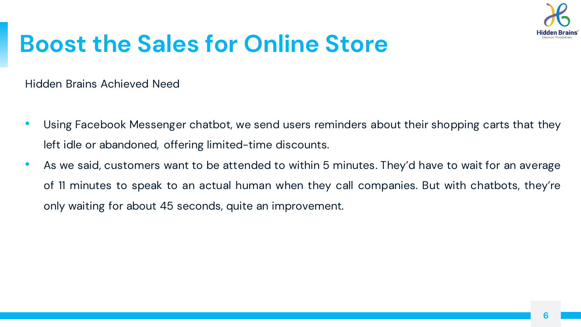

## **Boost the Sales for Online Store**

Hidden Brains Achieved Need

- Using Facebook Messenger chatbot, we send users reminders about their shopping carts that they left idle or abandoned, offering limited-time discounts.
- As we said, customers want to be attended to within 5 minutes. They'd have to wait for an average of 11 minutes to speak to an actual human when they call companies. But with chatbots, they're only waiting for about 45 seconds, quite an improvement.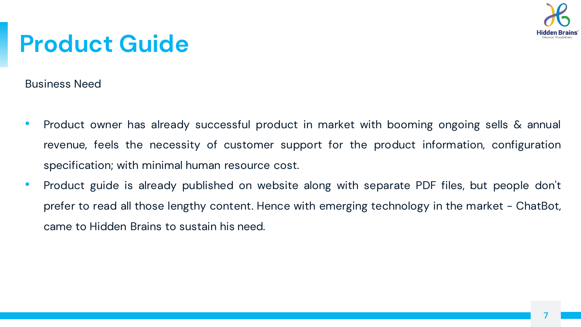

## **Product Guide**

Business Need

- Product owner has already successful product in market with booming ongoing sells & annual revenue, feels the necessity of customer support for the product information, configuration specification; with minimal human resource cost.
- Product guide is already published on website along with separate PDF files, but people don't prefer to read all those lengthy content. Hence with emerging technology in the market - ChatBot, came to Hidden Brains to sustain his need.